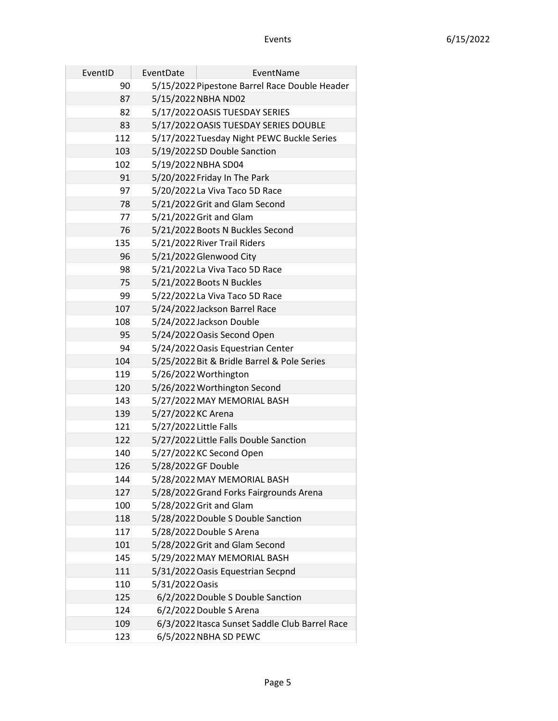| EventID | EventDate              | EventName                                      |
|---------|------------------------|------------------------------------------------|
| 90      |                        | 5/15/2022 Pipestone Barrel Race Double Header  |
| 87      |                        | 5/15/2022 NBHA ND02                            |
| 82      |                        | 5/17/2022 OASIS TUESDAY SERIES                 |
| 83      |                        | 5/17/2022 OASIS TUESDAY SERIES DOUBLE          |
| 112     |                        | 5/17/2022 Tuesday Night PEWC Buckle Series     |
| 103     |                        | 5/19/2022 SD Double Sanction                   |
| 102     |                        | 5/19/2022 NBHA SD04                            |
| 91      |                        | 5/20/2022 Friday In The Park                   |
| 97      |                        | 5/20/2022 La Viva Taco 5D Race                 |
| 78      |                        | 5/21/2022 Grit and Glam Second                 |
| 77      |                        | 5/21/2022 Grit and Glam                        |
| 76      |                        | 5/21/2022 Boots N Buckles Second               |
| 135     |                        | 5/21/2022 River Trail Riders                   |
| 96      |                        | 5/21/2022 Glenwood City                        |
| 98      |                        | 5/21/2022 La Viva Taco 5D Race                 |
| 75      |                        | 5/21/2022 Boots N Buckles                      |
| 99      |                        | 5/22/2022 La Viva Taco 5D Race                 |
| 107     |                        | 5/24/2022 Jackson Barrel Race                  |
| 108     |                        | 5/24/2022 Jackson Double                       |
| 95      |                        | 5/24/2022 Oasis Second Open                    |
| 94      |                        | 5/24/2022 Oasis Equestrian Center              |
| 104     |                        | 5/25/2022 Bit & Bridle Barrel & Pole Series    |
| 119     |                        | 5/26/2022 Worthington                          |
| 120     |                        | 5/26/2022 Worthington Second                   |
| 143     |                        | 5/27/2022 MAY MEMORIAL BASH                    |
| 139     | 5/27/2022 KC Arena     |                                                |
| 121     | 5/27/2022 Little Falls |                                                |
| 122     |                        | 5/27/2022 Little Falls Double Sanction         |
| 140     |                        | 5/27/2022 KC Second Open                       |
| 126     | 5/28/2022 GF Double    |                                                |
| 144     |                        | 5/28/2022 MAY MEMORIAL BASH                    |
| 127     |                        | 5/28/2022 Grand Forks Fairgrounds Arena        |
| 100     |                        | 5/28/2022 Grit and Glam                        |
| 118     |                        | 5/28/2022 Double S Double Sanction             |
| 117     |                        | 5/28/2022 Double S Arena                       |
| 101     |                        | 5/28/2022 Grit and Glam Second                 |
| 145     |                        | 5/29/2022 MAY MEMORIAL BASH                    |
| 111     |                        | 5/31/2022 Oasis Equestrian Secpnd              |
| 110     | 5/31/2022 Oasis        |                                                |
| 125     |                        | 6/2/2022 Double S Double Sanction              |
| 124     |                        | 6/2/2022 Double S Arena                        |
| 109     |                        | 6/3/2022 Itasca Sunset Saddle Club Barrel Race |
| 123     |                        | 6/5/2022 NBHA SD PEWC                          |